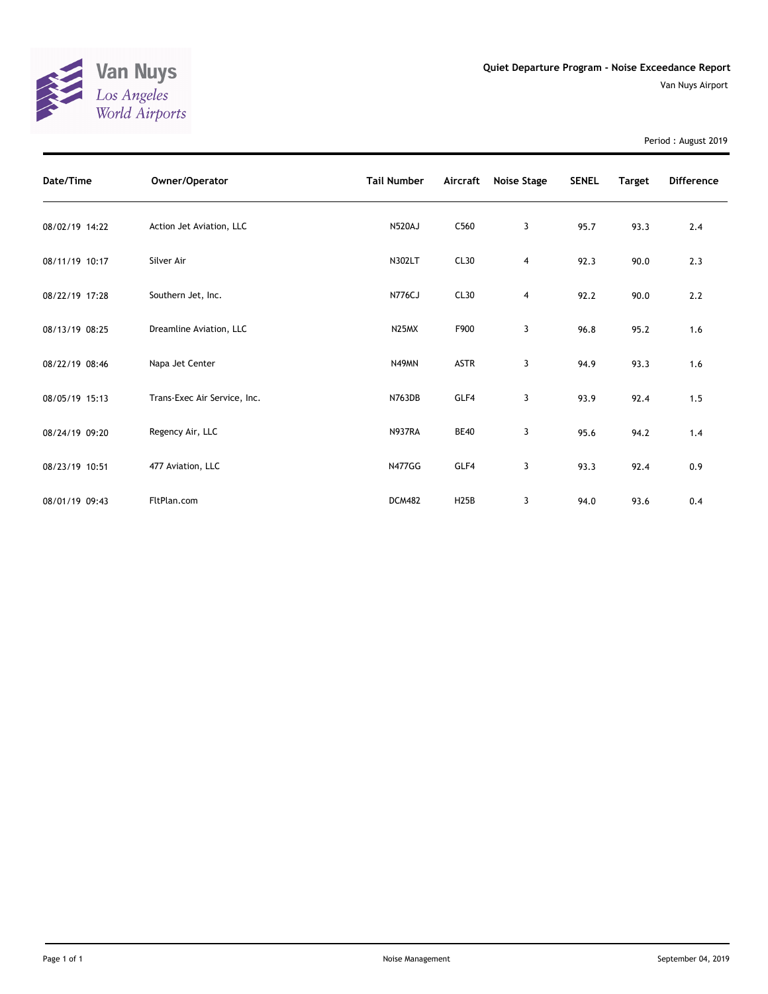

Period : August 2019

| Date/Time      | Owner/Operator               | <b>Tail Number</b> | Aircraft          | Noise Stage | <b>SENEL</b> | <b>Target</b> | <b>Difference</b> |
|----------------|------------------------------|--------------------|-------------------|-------------|--------------|---------------|-------------------|
| 08/02/19 14:22 | Action Jet Aviation, LLC     | <b>N520AJ</b>      | C <sub>560</sub>  | 3           | 95.7         | 93.3          | 2.4               |
| 08/11/19 10:17 | Silver Air                   | N302LT             | CL30              | 4           | 92.3         | 90.0          | 2.3               |
| 08/22/19 17:28 | Southern Jet, Inc.           | <b>N776CJ</b>      | CL30              | 4           | 92.2         | 90.0          | 2.2               |
| 08/13/19 08:25 | Dreamline Aviation, LLC      | N <sub>25</sub> MX | F900              | 3           | 96.8         | 95.2          | 1.6               |
| 08/22/19 08:46 | Napa Jet Center              | N49MN              | <b>ASTR</b>       | 3           | 94.9         | 93.3          | 1.6               |
| 08/05/19 15:13 | Trans-Exec Air Service, Inc. | <b>N763DB</b>      | GLF4              | 3           | 93.9         | 92.4          | 1.5               |
| 08/24/19 09:20 | Regency Air, LLC             | <b>N937RA</b>      | <b>BE40</b>       | 3           | 95.6         | 94.2          | 1.4               |
| 08/23/19 10:51 | 477 Aviation, LLC            | <b>N477GG</b>      | GLF4              | 3           | 93.3         | 92.4          | 0.9               |
| 08/01/19 09:43 | FltPlan.com                  | <b>DCM482</b>      | H <sub>25</sub> B | 3           | 94.0         | 93.6          | 0.4               |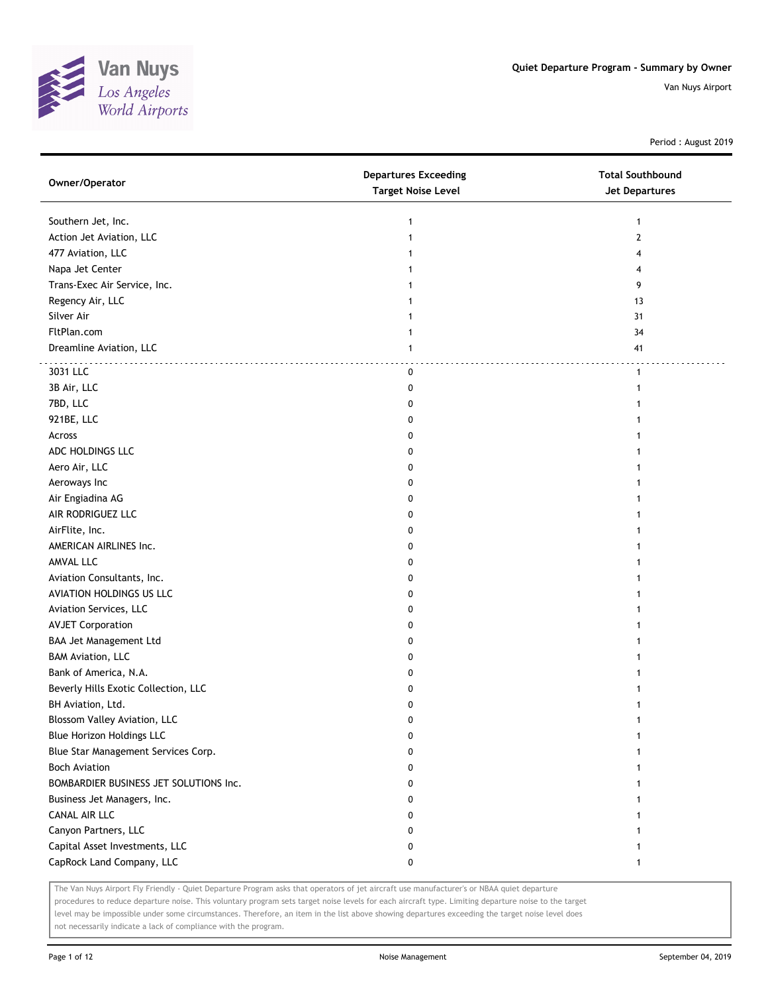

Period : August 2019

| Owner/Operator                         | <b>Departures Exceeding</b><br><b>Target Noise Level</b> | <b>Total Southbound</b><br>Jet Departures |
|----------------------------------------|----------------------------------------------------------|-------------------------------------------|
| Southern Jet, Inc.                     | 1                                                        | $\mathbf{1}$                              |
| Action Jet Aviation, LLC               | 1                                                        | $\overline{2}$                            |
| 477 Aviation, LLC                      |                                                          | 4                                         |
| Napa Jet Center                        |                                                          | 4                                         |
| Trans-Exec Air Service, Inc.           |                                                          | 9                                         |
| Regency Air, LLC                       |                                                          | 13                                        |
| Silver Air                             |                                                          | 31                                        |
| FltPlan.com                            | 1                                                        | 34                                        |
| Dreamline Aviation, LLC                | 1                                                        | 41                                        |
| 3031 LLC                               | 0                                                        | $\mathbf{1}$                              |
| 3B Air, LLC                            | 0                                                        |                                           |
| 7BD, LLC                               | 0                                                        |                                           |
| 921BE, LLC                             | 0                                                        |                                           |
| Across                                 | 0                                                        |                                           |
| ADC HOLDINGS LLC                       | 0                                                        |                                           |
| Aero Air, LLC                          | 0                                                        |                                           |
| Aeroways Inc                           | 0                                                        |                                           |
| Air Engiadina AG                       | 0                                                        |                                           |
| AIR RODRIGUEZ LLC                      | 0                                                        |                                           |
| AirFlite, Inc.                         | 0                                                        |                                           |
| AMERICAN AIRLINES Inc.                 | 0                                                        |                                           |
| AMVAL LLC                              | 0                                                        |                                           |
| Aviation Consultants, Inc.             | 0                                                        |                                           |
| AVIATION HOLDINGS US LLC               | 0                                                        |                                           |
| Aviation Services, LLC                 | 0                                                        |                                           |
| <b>AVJET Corporation</b>               | 0                                                        |                                           |
| BAA Jet Management Ltd                 | 0                                                        |                                           |
| <b>BAM Aviation, LLC</b>               | 0                                                        |                                           |
| Bank of America, N.A.                  | 0                                                        |                                           |
| Beverly Hills Exotic Collection, LLC   | 0                                                        |                                           |
| BH Aviation, Ltd.                      | 0                                                        |                                           |
| Blossom Valley Aviation, LLC           | 0                                                        |                                           |
| Blue Horizon Holdings LLC              | 0                                                        |                                           |
| Blue Star Management Services Corp.    | 0                                                        |                                           |
| <b>Boch Aviation</b>                   | 0                                                        |                                           |
| BOMBARDIER BUSINESS JET SOLUTIONS Inc. | 0                                                        |                                           |
| Business Jet Managers, Inc.            | 0                                                        |                                           |
| <b>CANAL AIR LLC</b>                   | 0                                                        |                                           |
| Canyon Partners, LLC                   | 0                                                        |                                           |
| Capital Asset Investments, LLC         | 0                                                        |                                           |
| CapRock Land Company, LLC              | 0                                                        | 1                                         |

The Van Nuys Airport Fly Friendly - Quiet Departure Program asks that operators of jet aircraft use manufacturer's or NBAA quiet departure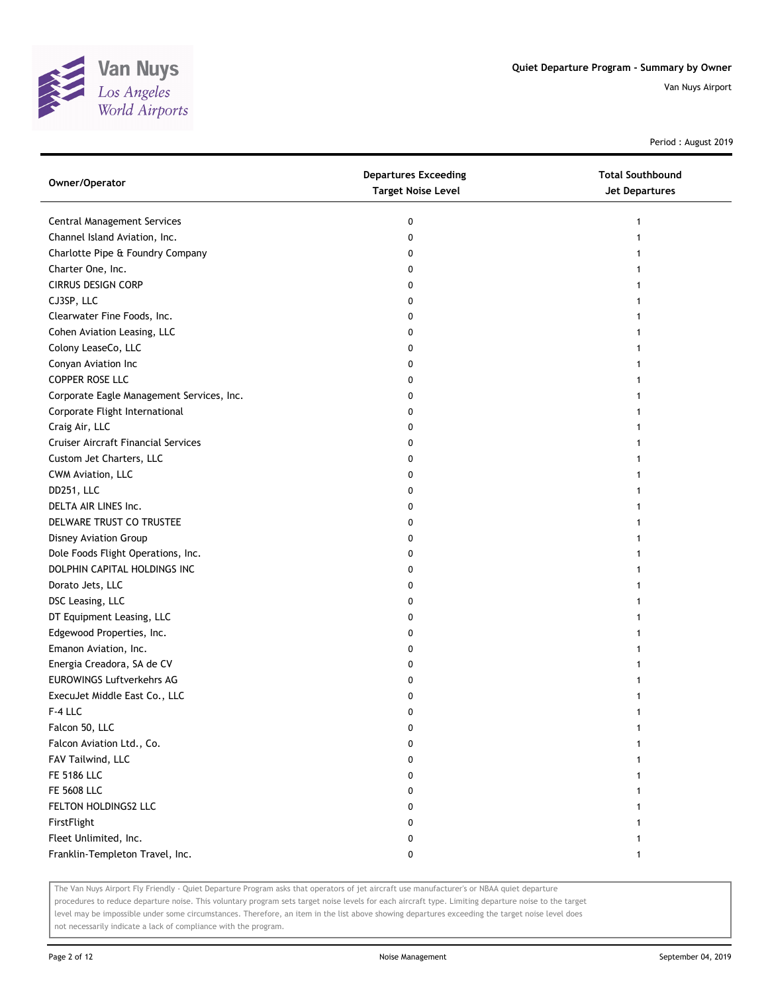

Period : August 2019

| Owner/Operator                             | <b>Departures Exceeding</b><br><b>Target Noise Level</b> | <b>Total Southbound</b><br>Jet Departures |
|--------------------------------------------|----------------------------------------------------------|-------------------------------------------|
| <b>Central Management Services</b>         | 0                                                        | 1                                         |
| Channel Island Aviation, Inc.              | 0                                                        |                                           |
| Charlotte Pipe & Foundry Company           | 0                                                        |                                           |
| Charter One, Inc.                          | 0                                                        |                                           |
| <b>CIRRUS DESIGN CORP</b>                  | 0                                                        |                                           |
| CJ3SP, LLC                                 | 0                                                        |                                           |
| Clearwater Fine Foods, Inc.                | 0                                                        |                                           |
| Cohen Aviation Leasing, LLC                | 0                                                        |                                           |
| Colony LeaseCo, LLC                        | 0                                                        | 1                                         |
| Conyan Aviation Inc                        | 0                                                        |                                           |
| COPPER ROSE LLC                            | 0                                                        |                                           |
| Corporate Eagle Management Services, Inc.  | 0                                                        |                                           |
| Corporate Flight International             | 0                                                        |                                           |
| Craig Air, LLC                             | 0                                                        |                                           |
| <b>Cruiser Aircraft Financial Services</b> | 0                                                        |                                           |
| Custom Jet Charters, LLC                   | 0                                                        |                                           |
| CWM Aviation, LLC                          | 0                                                        |                                           |
| DD251, LLC                                 | 0                                                        |                                           |
| DELTA AIR LINES Inc.                       | 0                                                        | 1                                         |
| DELWARE TRUST CO TRUSTEE                   | 0                                                        |                                           |
| Disney Aviation Group                      | 0                                                        |                                           |
| Dole Foods Flight Operations, Inc.         | 0                                                        |                                           |
| DOLPHIN CAPITAL HOLDINGS INC               | 0                                                        |                                           |
| Dorato Jets, LLC                           | 0                                                        |                                           |
| DSC Leasing, LLC                           | 0                                                        |                                           |
| DT Equipment Leasing, LLC                  | 0                                                        |                                           |
| Edgewood Properties, Inc.                  | 0                                                        |                                           |
| Emanon Aviation, Inc.                      | 0                                                        |                                           |
| Energia Creadora, SA de CV                 | 0                                                        |                                           |
| <b>EUROWINGS Luftverkehrs AG</b>           | 0                                                        |                                           |
| ExecuJet Middle East Co., LLC              | 0                                                        |                                           |
| F-4 LLC                                    | 0                                                        |                                           |
| Falcon 50, LLC                             | 0                                                        |                                           |
| Falcon Aviation Ltd., Co.                  | 0                                                        |                                           |
| FAV Tailwind, LLC                          | 0                                                        |                                           |
| FE 5186 LLC                                | 0                                                        |                                           |
| <b>FE 5608 LLC</b>                         | 0                                                        |                                           |
| FELTON HOLDINGS2 LLC                       | 0                                                        |                                           |
| FirstFlight                                | 0                                                        | 1                                         |
| Fleet Unlimited, Inc.                      | 0                                                        | 1                                         |
| Franklin-Templeton Travel, Inc.            | 0                                                        | $\mathbf{1}$                              |

The Van Nuys Airport Fly Friendly - Quiet Departure Program asks that operators of jet aircraft use manufacturer's or NBAA quiet departure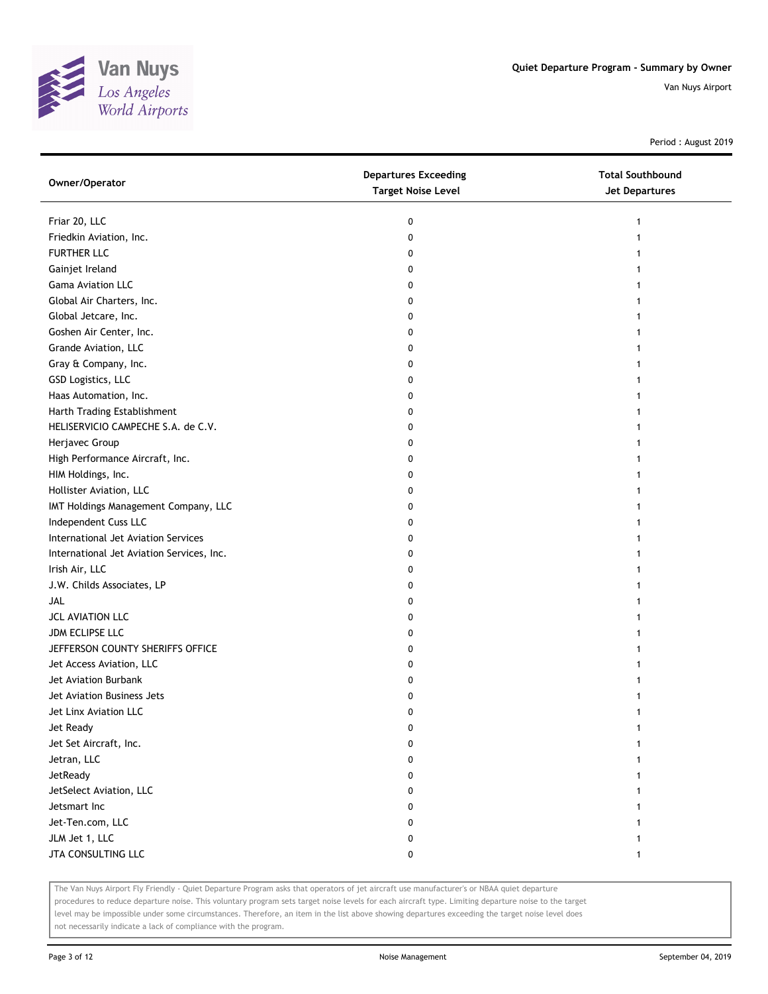

Period : August 2019

| Owner/Operator                            | <b>Departures Exceeding</b><br><b>Target Noise Level</b> | <b>Total Southbound</b><br><b>Jet Departures</b> |
|-------------------------------------------|----------------------------------------------------------|--------------------------------------------------|
| Friar 20, LLC                             | 0                                                        |                                                  |
| Friedkin Aviation, Inc.                   | 0                                                        |                                                  |
| <b>FURTHER LLC</b>                        | 0                                                        |                                                  |
| Gainjet Ireland                           | 0                                                        |                                                  |
| <b>Gama Aviation LLC</b>                  | 0                                                        |                                                  |
| Global Air Charters, Inc.                 | 0                                                        |                                                  |
| Global Jetcare, Inc.                      | 0                                                        |                                                  |
| Goshen Air Center, Inc.                   | 0                                                        |                                                  |
| Grande Aviation, LLC                      | 0                                                        |                                                  |
| Gray & Company, Inc.                      | 0                                                        |                                                  |
| GSD Logistics, LLC                        | 0                                                        |                                                  |
| Haas Automation, Inc.                     | 0                                                        |                                                  |
| Harth Trading Establishment               | 0                                                        |                                                  |
| HELISERVICIO CAMPECHE S.A. de C.V.        | 0                                                        |                                                  |
| Herjavec Group                            | 0                                                        |                                                  |
| High Performance Aircraft, Inc.           | 0                                                        |                                                  |
| HIM Holdings, Inc.                        | 0                                                        |                                                  |
| Hollister Aviation, LLC                   | 0                                                        |                                                  |
| IMT Holdings Management Company, LLC      | 0                                                        |                                                  |
| Independent Cuss LLC                      | 0                                                        |                                                  |
| International Jet Aviation Services       | 0                                                        |                                                  |
| International Jet Aviation Services, Inc. | 0                                                        |                                                  |
| Irish Air, LLC                            | 0                                                        |                                                  |
| J.W. Childs Associates, LP                | 0                                                        |                                                  |
| JAL                                       | 0                                                        |                                                  |
| JCL AVIATION LLC                          | 0                                                        |                                                  |
| JDM ECLIPSE LLC                           | 0                                                        |                                                  |
| JEFFERSON COUNTY SHERIFFS OFFICE          | 0                                                        |                                                  |
| Jet Access Aviation, LLC                  | 0                                                        |                                                  |
| Jet Aviation Burbank                      | 0                                                        |                                                  |
| Jet Aviation Business Jets                | 0                                                        |                                                  |
| Jet Linx Aviation LLC                     | 0                                                        |                                                  |
| Jet Ready                                 | 0                                                        |                                                  |
| Jet Set Aircraft, Inc.                    | 0                                                        |                                                  |
| Jetran, LLC                               | 0                                                        |                                                  |
| JetReady                                  | 0                                                        |                                                  |
| JetSelect Aviation, LLC                   | 0                                                        |                                                  |
| Jetsmart Inc                              | 0                                                        |                                                  |
| Jet-Ten.com, LLC                          | 0                                                        |                                                  |
| JLM Jet 1, LLC                            | 0                                                        |                                                  |
| JTA CONSULTING LLC                        | 0                                                        | 1                                                |

The Van Nuys Airport Fly Friendly - Quiet Departure Program asks that operators of jet aircraft use manufacturer's or NBAA quiet departure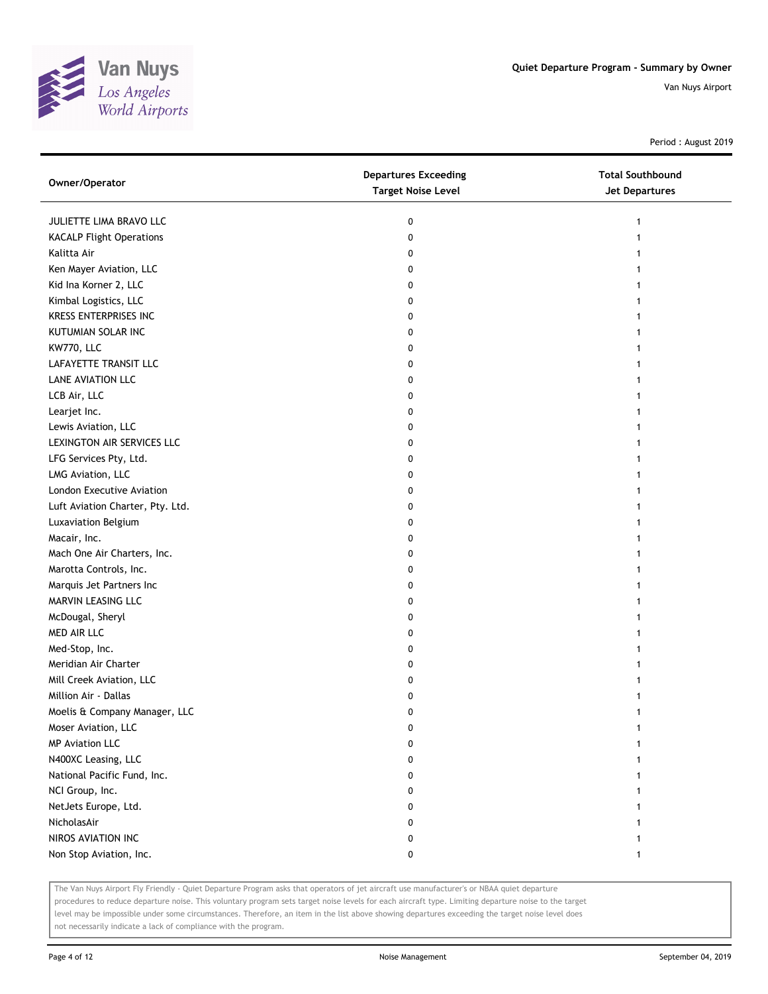

Period : August 2019

| Owner/Operator                   | <b>Departures Exceeding</b><br><b>Target Noise Level</b> | <b>Total Southbound</b><br><b>Jet Departures</b> |
|----------------------------------|----------------------------------------------------------|--------------------------------------------------|
| JULIETTE LIMA BRAVO LLC          | 0                                                        | 1                                                |
| <b>KACALP Flight Operations</b>  | 0                                                        |                                                  |
| Kalitta Air                      | 0                                                        |                                                  |
| Ken Mayer Aviation, LLC          | 0                                                        |                                                  |
| Kid Ina Korner 2, LLC            | 0                                                        |                                                  |
| Kimbal Logistics, LLC            | 0                                                        |                                                  |
| KRESS ENTERPRISES INC            | 0                                                        |                                                  |
| KUTUMIAN SOLAR INC               | 0                                                        |                                                  |
| KW770, LLC                       | 0                                                        |                                                  |
| LAFAYETTE TRANSIT LLC            | 0                                                        |                                                  |
| LANE AVIATION LLC                | 0                                                        |                                                  |
| LCB Air, LLC                     | 0                                                        |                                                  |
| Learjet Inc.                     | 0                                                        |                                                  |
| Lewis Aviation, LLC              | 0                                                        |                                                  |
| LEXINGTON AIR SERVICES LLC       | 0                                                        |                                                  |
| LFG Services Pty, Ltd.           | 0                                                        |                                                  |
| LMG Aviation, LLC                | 0                                                        |                                                  |
| London Executive Aviation        | 0                                                        |                                                  |
| Luft Aviation Charter, Pty. Ltd. | 0                                                        |                                                  |
| Luxaviation Belgium              | 0                                                        |                                                  |
| Macair, Inc.                     | 0                                                        |                                                  |
| Mach One Air Charters, Inc.      | 0                                                        |                                                  |
| Marotta Controls, Inc.           | 0                                                        |                                                  |
| Marquis Jet Partners Inc         | 0                                                        |                                                  |
| MARVIN LEASING LLC               | 0                                                        | 1                                                |
| McDougal, Sheryl                 | 0                                                        |                                                  |
| MED AIR LLC                      | 0                                                        |                                                  |
| Med-Stop, Inc.                   | 0                                                        |                                                  |
| Meridian Air Charter             | 0                                                        |                                                  |
| Mill Creek Aviation, LLC         | 0                                                        |                                                  |
| Million Air - Dallas             | 0                                                        |                                                  |
| Moelis & Company Manager, LLC    | 0                                                        |                                                  |
| Moser Aviation, LLC              | 0                                                        |                                                  |
| <b>MP Aviation LLC</b>           | 0                                                        |                                                  |
| N400XC Leasing, LLC              | 0                                                        |                                                  |
| National Pacific Fund, Inc.      | 0                                                        |                                                  |
| NCI Group, Inc.                  | 0                                                        |                                                  |
| NetJets Europe, Ltd.             | 0                                                        |                                                  |
| NicholasAir                      | 0                                                        |                                                  |
| NIROS AVIATION INC               | 0                                                        |                                                  |
| Non Stop Aviation, Inc.          | 0                                                        |                                                  |

The Van Nuys Airport Fly Friendly - Quiet Departure Program asks that operators of jet aircraft use manufacturer's or NBAA quiet departure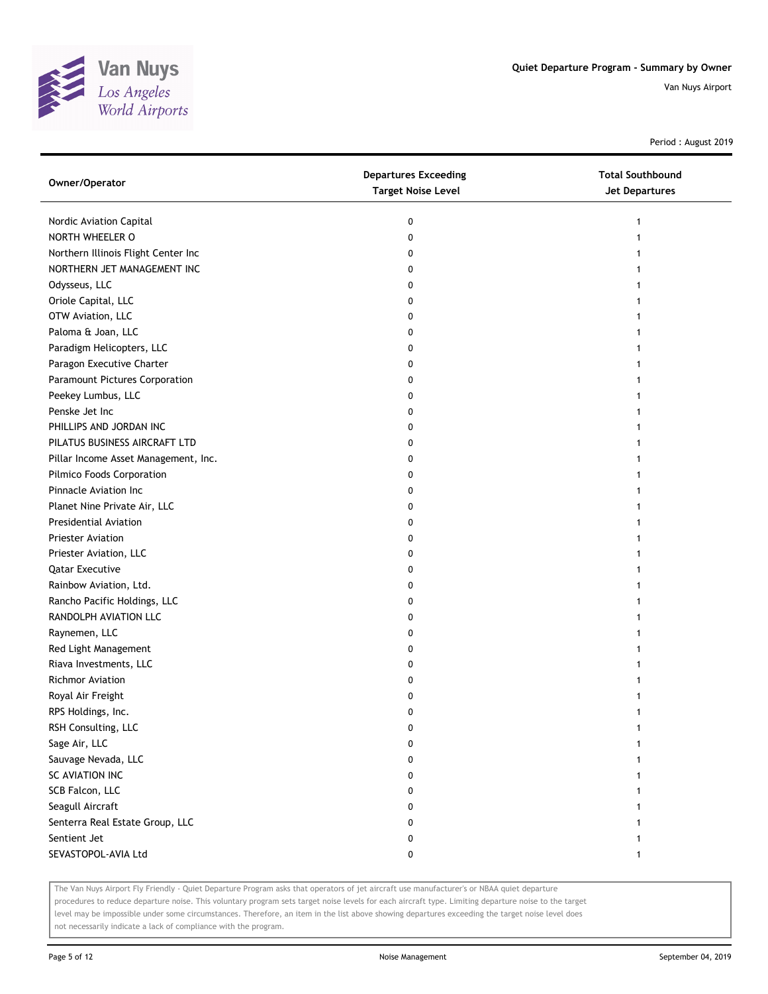

Period : August 2019

| Owner/Operator                       | <b>Departures Exceeding</b><br><b>Target Noise Level</b> | <b>Total Southbound</b><br><b>Jet Departures</b> |
|--------------------------------------|----------------------------------------------------------|--------------------------------------------------|
| Nordic Aviation Capital              | 0                                                        |                                                  |
| NORTH WHEELER O                      | 0                                                        |                                                  |
| Northern Illinois Flight Center Inc  | 0                                                        |                                                  |
| NORTHERN JET MANAGEMENT INC          | 0                                                        |                                                  |
| Odysseus, LLC                        | 0                                                        |                                                  |
| Oriole Capital, LLC                  | 0                                                        |                                                  |
| OTW Aviation, LLC                    | 0                                                        |                                                  |
| Paloma & Joan, LLC                   | 0                                                        |                                                  |
| Paradigm Helicopters, LLC            | 0                                                        |                                                  |
| Paragon Executive Charter            | 0                                                        |                                                  |
| Paramount Pictures Corporation       | 0                                                        |                                                  |
| Peekey Lumbus, LLC                   | 0                                                        |                                                  |
| Penske Jet Inc                       | 0                                                        |                                                  |
| PHILLIPS AND JORDAN INC              | 0                                                        |                                                  |
| PILATUS BUSINESS AIRCRAFT LTD        | 0                                                        |                                                  |
| Pillar Income Asset Management, Inc. | 0                                                        |                                                  |
| Pilmico Foods Corporation            | 0                                                        |                                                  |
| Pinnacle Aviation Inc                | 0                                                        |                                                  |
| Planet Nine Private Air, LLC         | 0                                                        |                                                  |
| <b>Presidential Aviation</b>         | 0                                                        |                                                  |
| <b>Priester Aviation</b>             | 0                                                        |                                                  |
| Priester Aviation, LLC               | 0                                                        |                                                  |
| <b>Qatar Executive</b>               | 0                                                        |                                                  |
| Rainbow Aviation, Ltd.               | 0                                                        |                                                  |
| Rancho Pacific Holdings, LLC         | 0                                                        |                                                  |
| RANDOLPH AVIATION LLC                | 0                                                        |                                                  |
| Raynemen, LLC                        | 0                                                        |                                                  |
| Red Light Management                 | 0                                                        |                                                  |
| Riava Investments, LLC               | 0                                                        |                                                  |
| <b>Richmor Aviation</b>              | 0                                                        |                                                  |
| Royal Air Freight                    | 0                                                        |                                                  |
| RPS Holdings, Inc.                   | 0                                                        |                                                  |
| RSH Consulting, LLC                  | 0                                                        |                                                  |
| Sage Air, LLC                        | 0                                                        |                                                  |
| Sauvage Nevada, LLC                  | 0                                                        |                                                  |
| SC AVIATION INC                      | 0                                                        |                                                  |
| SCB Falcon, LLC                      | 0                                                        |                                                  |
| Seagull Aircraft                     | 0                                                        |                                                  |
| Senterra Real Estate Group, LLC      | 0                                                        | 1                                                |
| Sentient Jet                         | 0                                                        | 1                                                |
| SEVASTOPOL-AVIA Ltd                  | 0                                                        | $\mathbf{1}$                                     |

The Van Nuys Airport Fly Friendly - Quiet Departure Program asks that operators of jet aircraft use manufacturer's or NBAA quiet departure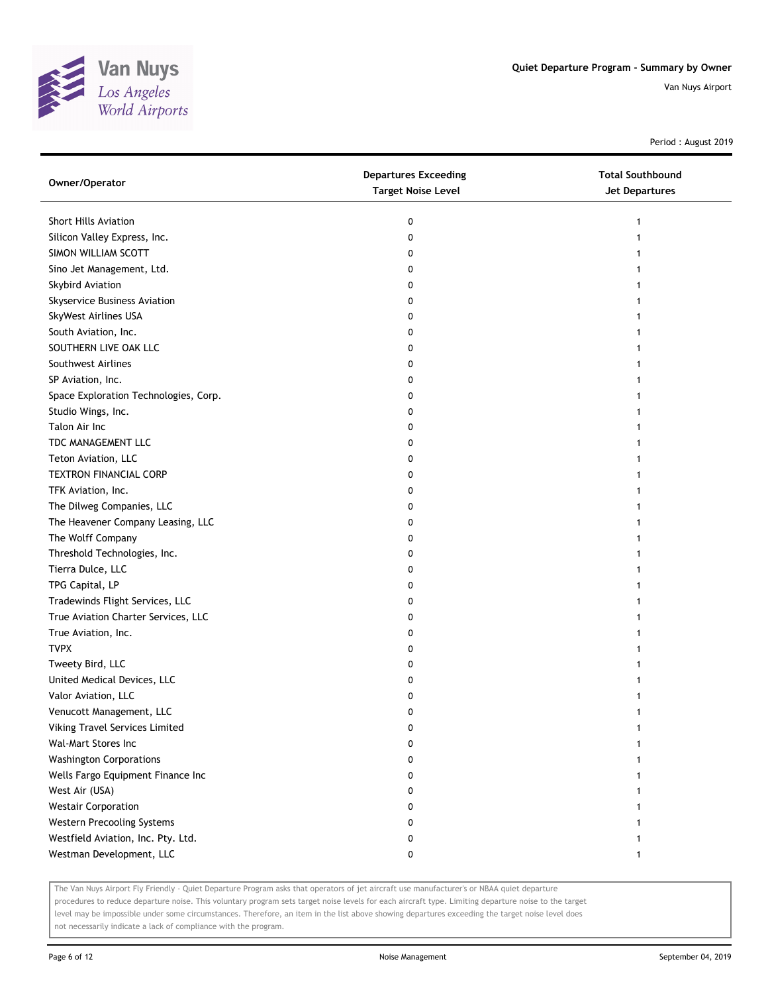

Period : August 2019

| Owner/Operator                        | <b>Departures Exceeding</b><br><b>Target Noise Level</b> | <b>Total Southbound</b><br>Jet Departures |
|---------------------------------------|----------------------------------------------------------|-------------------------------------------|
| Short Hills Aviation                  | 0                                                        |                                           |
| Silicon Valley Express, Inc.          | 0                                                        |                                           |
| SIMON WILLIAM SCOTT                   | 0                                                        |                                           |
| Sino Jet Management, Ltd.             | 0                                                        |                                           |
| Skybird Aviation                      | 0                                                        |                                           |
| Skyservice Business Aviation          | 0                                                        |                                           |
| SkyWest Airlines USA                  | 0                                                        |                                           |
| South Aviation, Inc.                  | 0                                                        |                                           |
| SOUTHERN LIVE OAK LLC                 | 0                                                        |                                           |
| Southwest Airlines                    | 0                                                        |                                           |
| SP Aviation, Inc.                     | 0                                                        |                                           |
| Space Exploration Technologies, Corp. | 0                                                        |                                           |
| Studio Wings, Inc.                    | 0                                                        |                                           |
| Talon Air Inc                         | 0                                                        |                                           |
| TDC MANAGEMENT LLC                    | 0                                                        |                                           |
| Teton Aviation, LLC                   | 0                                                        |                                           |
| <b>TEXTRON FINANCIAL CORP</b>         | 0                                                        |                                           |
| TFK Aviation, Inc.                    | 0                                                        |                                           |
| The Dilweg Companies, LLC             | 0                                                        |                                           |
| The Heavener Company Leasing, LLC     | 0                                                        |                                           |
| The Wolff Company                     | 0                                                        |                                           |
| Threshold Technologies, Inc.          | 0                                                        |                                           |
| Tierra Dulce, LLC                     | 0                                                        |                                           |
| TPG Capital, LP                       | 0                                                        |                                           |
| Tradewinds Flight Services, LLC       | 0                                                        |                                           |
| True Aviation Charter Services, LLC   | 0                                                        |                                           |
| True Aviation, Inc.                   | 0                                                        |                                           |
| <b>TVPX</b>                           | 0                                                        |                                           |
| Tweety Bird, LLC                      | 0                                                        |                                           |
| United Medical Devices, LLC           | 0                                                        |                                           |
| Valor Aviation, LLC                   | 0                                                        |                                           |
| Venucott Management, LLC              | 0                                                        |                                           |
| Viking Travel Services Limited        | 0                                                        |                                           |
| Wal-Mart Stores Inc                   | 0                                                        |                                           |
| <b>Washington Corporations</b>        | 0                                                        |                                           |
| Wells Fargo Equipment Finance Inc     | 0                                                        |                                           |
| West Air (USA)                        | 0                                                        |                                           |
| <b>Westair Corporation</b>            | 0                                                        |                                           |
| Western Precooling Systems            | 0                                                        |                                           |
| Westfield Aviation, Inc. Pty. Ltd.    | 0                                                        |                                           |
| Westman Development, LLC              | 0                                                        |                                           |

The Van Nuys Airport Fly Friendly - Quiet Departure Program asks that operators of jet aircraft use manufacturer's or NBAA quiet departure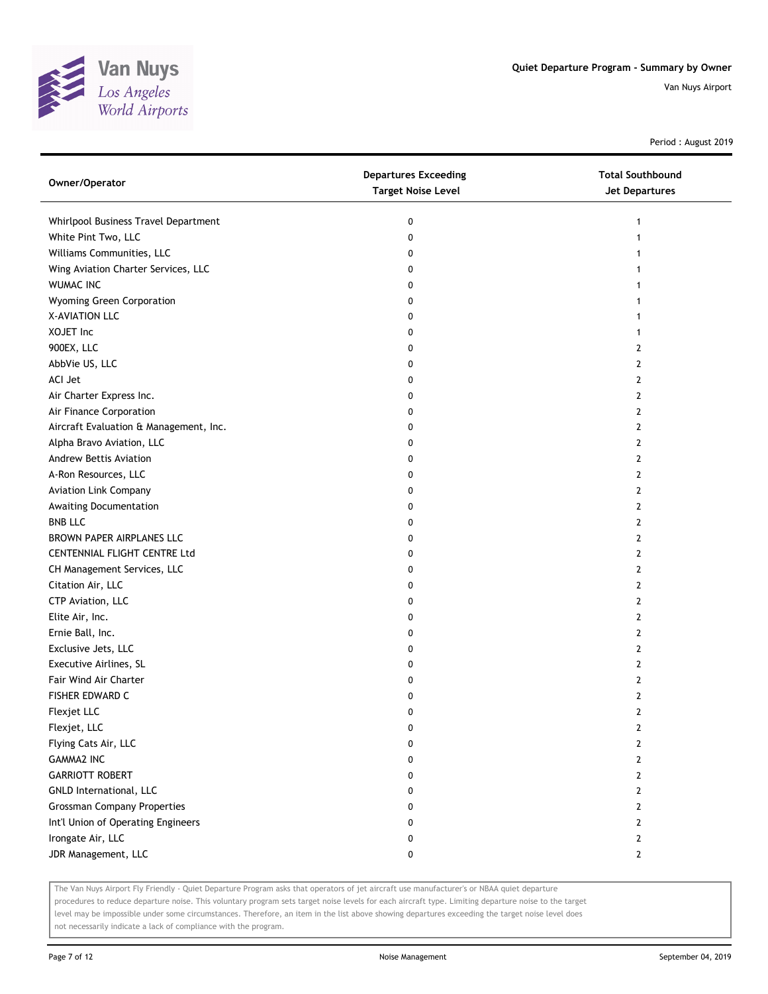

Period : August 2019

| Owner/Operator                         | <b>Departures Exceeding</b><br><b>Target Noise Level</b> | <b>Total Southbound</b><br><b>Jet Departures</b> |
|----------------------------------------|----------------------------------------------------------|--------------------------------------------------|
| Whirlpool Business Travel Department   | 0                                                        | 1                                                |
| White Pint Two, LLC                    | 0                                                        | 1                                                |
| Williams Communities, LLC              | 0                                                        |                                                  |
| Wing Aviation Charter Services, LLC    | 0                                                        |                                                  |
| <b>WUMAC INC</b>                       | 0                                                        | 1                                                |
| Wyoming Green Corporation              | 0                                                        | 1                                                |
| X-AVIATION LLC                         | 0                                                        | 1                                                |
| XOJET Inc                              | 0                                                        | 1                                                |
| 900EX, LLC                             | 0                                                        | $\overline{2}$                                   |
| AbbVie US, LLC                         | 0                                                        | $\overline{2}$                                   |
| ACI Jet                                | 0                                                        | 2                                                |
| Air Charter Express Inc.               | 0                                                        | 2                                                |
| Air Finance Corporation                | 0                                                        | 2                                                |
| Aircraft Evaluation & Management, Inc. | 0                                                        | $\overline{2}$                                   |
| Alpha Bravo Aviation, LLC              | 0                                                        | 2                                                |
| Andrew Bettis Aviation                 | 0                                                        | 2                                                |
| A-Ron Resources, LLC                   | 0                                                        | 2                                                |
| <b>Aviation Link Company</b>           | 0                                                        | $\overline{2}$                                   |
| Awaiting Documentation                 | 0                                                        | $\overline{2}$                                   |
| <b>BNB LLC</b>                         | 0                                                        | $\overline{2}$                                   |
| BROWN PAPER AIRPLANES LLC              | 0                                                        | 2                                                |
| CENTENNIAL FLIGHT CENTRE Ltd           | 0                                                        | 2                                                |
| CH Management Services, LLC            | 0                                                        | 2                                                |
| Citation Air, LLC                      | 0                                                        | $\overline{2}$                                   |
| CTP Aviation, LLC                      | 0                                                        | 2                                                |
| Elite Air, Inc.                        | 0                                                        | 2                                                |
| Ernie Ball, Inc.                       | 0                                                        | 2                                                |
| Exclusive Jets, LLC                    | 0                                                        | 2                                                |
| Executive Airlines, SL                 | 0                                                        | $\overline{2}$                                   |
| Fair Wind Air Charter                  | 0                                                        | $\overline{2}$                                   |
| FISHER EDWARD C                        | 0                                                        | $\overline{2}$                                   |
| Flexjet LLC                            | 0                                                        | $\overline{2}$                                   |
| Flexjet, LLC                           | 0                                                        | 2                                                |
| Flying Cats Air, LLC                   | 0                                                        | $\overline{2}$                                   |
| <b>GAMMA2 INC</b>                      | 0                                                        | $\overline{2}$                                   |
| <b>GARRIOTT ROBERT</b>                 | 0                                                        | 2                                                |
| GNLD International, LLC                | 0                                                        | 2                                                |
| <b>Grossman Company Properties</b>     | 0                                                        | $\mathbf{2}$                                     |
| Int'l Union of Operating Engineers     | 0                                                        | $\overline{2}$                                   |
| Irongate Air, LLC                      | 0                                                        | $\overline{2}$                                   |
| JDR Management, LLC                    | 0                                                        | $\overline{2}$                                   |

The Van Nuys Airport Fly Friendly - Quiet Departure Program asks that operators of jet aircraft use manufacturer's or NBAA quiet departure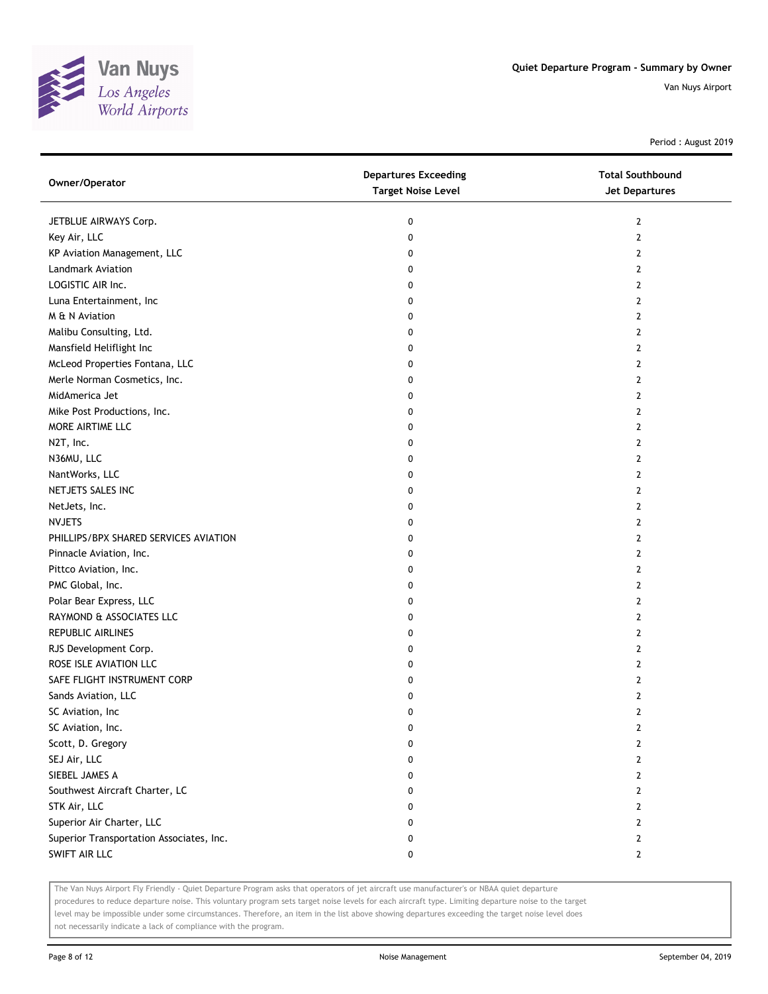

Period : August 2019

| Owner/Operator                           | <b>Departures Exceeding</b><br><b>Target Noise Level</b> | <b>Total Southbound</b><br>Jet Departures |
|------------------------------------------|----------------------------------------------------------|-------------------------------------------|
| JETBLUE AIRWAYS Corp.                    | 0                                                        | $\mathbf{2}$                              |
| Key Air, LLC                             | 0                                                        | $\overline{2}$                            |
| KP Aviation Management, LLC              | 0                                                        | 2                                         |
| Landmark Aviation                        | 0                                                        | 2                                         |
| LOGISTIC AIR Inc.                        | 0                                                        | 2                                         |
| Luna Entertainment, Inc                  | 0                                                        | 2                                         |
| M & N Aviation                           | 0                                                        | 2                                         |
| Malibu Consulting, Ltd.                  | 0                                                        | 2                                         |
| Mansfield Heliflight Inc                 | 0                                                        | 2                                         |
| McLeod Properties Fontana, LLC           | 0                                                        | 2                                         |
| Merle Norman Cosmetics, Inc.             | 0                                                        | 2                                         |
| MidAmerica Jet                           | 0                                                        | 2                                         |
| Mike Post Productions, Inc.              | 0                                                        | 2                                         |
| MORE AIRTIME LLC                         | 0                                                        | 2                                         |
| N2T, Inc.                                | 0                                                        | 2                                         |
| N36MU, LLC                               | 0                                                        | 2                                         |
| NantWorks, LLC                           | 0                                                        | 2                                         |
| NETJETS SALES INC                        | 0                                                        | 2                                         |
| NetJets, Inc.                            | 0                                                        | 2                                         |
| <b>NVJETS</b>                            | 0                                                        | 2                                         |
| PHILLIPS/BPX SHARED SERVICES AVIATION    | 0                                                        | 2                                         |
| Pinnacle Aviation, Inc.                  | 0                                                        | 2                                         |
| Pittco Aviation, Inc.                    | 0                                                        | 2                                         |
| PMC Global, Inc.                         | 0                                                        | 2                                         |
| Polar Bear Express, LLC                  | 0                                                        | 2                                         |
| RAYMOND & ASSOCIATES LLC                 | 0                                                        | 2                                         |
| REPUBLIC AIRLINES                        | 0                                                        | 2                                         |
| RJS Development Corp.                    | 0                                                        | 2                                         |
| ROSE ISLE AVIATION LLC                   | 0                                                        | 2                                         |
| SAFE FLIGHT INSTRUMENT CORP              | 0                                                        | 2                                         |
| Sands Aviation, LLC                      | 0                                                        | 2                                         |
| SC Aviation, Inc                         | 0                                                        | $\overline{2}$                            |
| SC Aviation, Inc.                        | 0                                                        | 2                                         |
| Scott, D. Gregory                        | 0                                                        | 2                                         |
| SEJ Air, LLC                             | 0                                                        | 2                                         |
| SIEBEL JAMES A                           | 0                                                        | 2                                         |
| Southwest Aircraft Charter, LC           | 0                                                        | 2                                         |
| STK Air, LLC                             | 0                                                        | 2                                         |
| Superior Air Charter, LLC                | 0                                                        | 2                                         |
| Superior Transportation Associates, Inc. | 0                                                        | 2                                         |
| SWIFT AIR LLC                            | 0                                                        | $\mathbf{2}$                              |

The Van Nuys Airport Fly Friendly - Quiet Departure Program asks that operators of jet aircraft use manufacturer's or NBAA quiet departure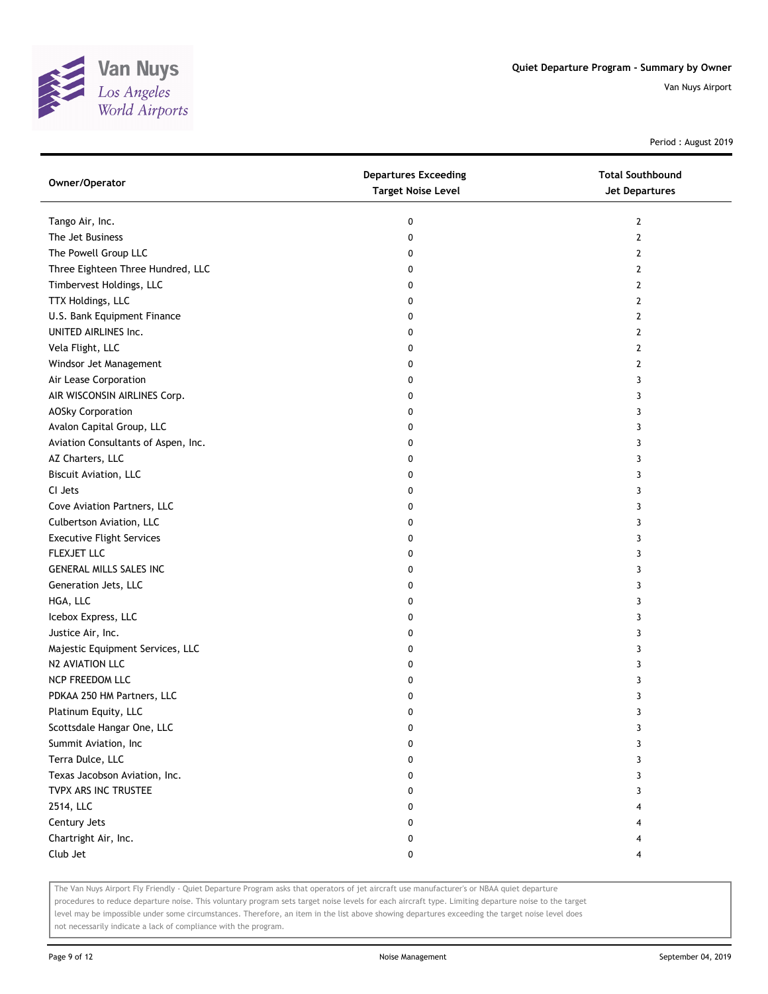

Period : August 2019

| Owner/Operator                      | <b>Departures Exceeding</b><br><b>Target Noise Level</b> | <b>Total Southbound</b><br><b>Jet Departures</b> |
|-------------------------------------|----------------------------------------------------------|--------------------------------------------------|
| Tango Air, Inc.                     | 0                                                        | $\mathbf{2}$                                     |
| The Jet Business                    | 0                                                        | $\mathbf{2}$                                     |
| The Powell Group LLC                | 0                                                        | $\overline{2}$                                   |
| Three Eighteen Three Hundred, LLC   | 0                                                        | 2                                                |
| Timbervest Holdings, LLC            | 0                                                        | $\overline{2}$                                   |
| TTX Holdings, LLC                   | 0                                                        | $\mathbf{2}$                                     |
| U.S. Bank Equipment Finance         | 0                                                        | 2                                                |
| UNITED AIRLINES Inc.                | 0                                                        | $\overline{2}$                                   |
| Vela Flight, LLC                    | 0                                                        | $\mathbf{2}$                                     |
| Windsor Jet Management              | 0                                                        | $\mathbf{2}$                                     |
| Air Lease Corporation               | 0                                                        | 3                                                |
| AIR WISCONSIN AIRLINES Corp.        | 0                                                        | 3                                                |
| <b>AOSky Corporation</b>            | 0                                                        | 3                                                |
| Avalon Capital Group, LLC           | 0                                                        | 3                                                |
| Aviation Consultants of Aspen, Inc. | 0                                                        | 3                                                |
| AZ Charters, LLC                    | 0                                                        | 3                                                |
| <b>Biscuit Aviation, LLC</b>        | 0                                                        | 3                                                |
| CI Jets                             | 0                                                        | 3                                                |
| Cove Aviation Partners, LLC         | 0                                                        | 3                                                |
| Culbertson Aviation, LLC            | 0                                                        | 3                                                |
| <b>Executive Flight Services</b>    | 0                                                        | 3                                                |
| FLEXJET LLC                         | 0                                                        | 3                                                |
| GENERAL MILLS SALES INC             | 0                                                        | 3                                                |
| Generation Jets, LLC                | 0                                                        | 3                                                |
| HGA, LLC                            | 0                                                        | 3                                                |
| Icebox Express, LLC                 | 0                                                        | 3                                                |
| Justice Air, Inc.                   | 0                                                        | 3                                                |
| Majestic Equipment Services, LLC    | 0                                                        | 3                                                |
| N2 AVIATION LLC                     | 0                                                        | 3                                                |
| NCP FREEDOM LLC                     | 0                                                        | 3                                                |
| PDKAA 250 HM Partners, LLC          | 0                                                        | 3                                                |
| Platinum Equity, LLC                | 0                                                        | 3                                                |
| Scottsdale Hangar One, LLC          | 0                                                        | 3                                                |
| Summit Aviation, Inc                | 0                                                        | 3                                                |
| Terra Dulce, LLC                    | 0                                                        | 3                                                |
| Texas Jacobson Aviation, Inc.       | 0                                                        | 3                                                |
| TVPX ARS INC TRUSTEE                | 0                                                        | 3                                                |
| 2514, LLC                           | 0                                                        | 4                                                |
| Century Jets                        | 0                                                        | 4                                                |
| Chartright Air, Inc.                | 0                                                        | 4                                                |
| Club Jet                            | 0                                                        | 4                                                |

The Van Nuys Airport Fly Friendly - Quiet Departure Program asks that operators of jet aircraft use manufacturer's or NBAA quiet departure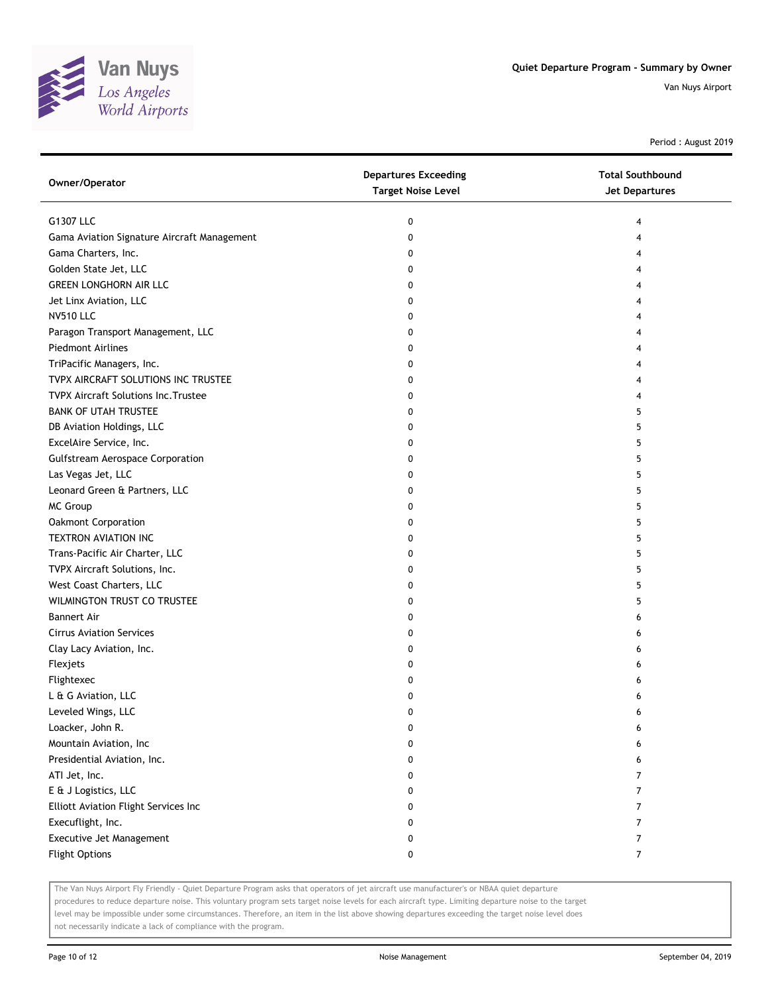

Period : August 2019

| G1307 LLC<br>0<br>4<br>Gama Aviation Signature Aircraft Management<br>0<br>4 |  |
|------------------------------------------------------------------------------|--|
|                                                                              |  |
|                                                                              |  |
| Gama Charters, Inc.<br>0<br>4                                                |  |
| Golden State Jet, LLC<br>0<br>4                                              |  |
| GREEN LONGHORN AIR LLC<br>0<br>4                                             |  |
| Jet Linx Aviation, LLC<br>0<br>4                                             |  |
| <b>NV510 LLC</b><br>0<br>4                                                   |  |
| Paragon Transport Management, LLC<br>0<br>4                                  |  |
| <b>Piedmont Airlines</b><br>0<br>4                                           |  |
| TriPacific Managers, Inc.<br>0<br>4                                          |  |
| TVPX AIRCRAFT SOLUTIONS INC TRUSTEE<br>0<br>4                                |  |
| <b>TVPX Aircraft Solutions Inc. Trustee</b><br>0<br>4                        |  |
| <b>BANK OF UTAH TRUSTEE</b><br>0<br>5                                        |  |
| DB Aviation Holdings, LLC<br>0<br>5                                          |  |
| ExcelAire Service, Inc.<br>0<br>5                                            |  |
| <b>Gulfstream Aerospace Corporation</b><br>0<br>5                            |  |
| Las Vegas Jet, LLC<br>5<br>0                                                 |  |
| Leonard Green & Partners, LLC<br>0<br>5                                      |  |
| MC Group<br>0<br>5                                                           |  |
| Oakmont Corporation<br>5<br>0                                                |  |
| TEXTRON AVIATION INC<br>5<br>0                                               |  |
| Trans-Pacific Air Charter, LLC<br>5<br>0                                     |  |
| TVPX Aircraft Solutions, Inc.<br>0<br>5                                      |  |
| West Coast Charters, LLC<br>0<br>5                                           |  |
| WILMINGTON TRUST CO TRUSTEE<br>0<br>5                                        |  |
| <b>Bannert Air</b><br>0<br>6                                                 |  |
| <b>Cirrus Aviation Services</b><br>0<br>6                                    |  |
| Clay Lacy Aviation, Inc.<br>0<br>6                                           |  |
| Flexjets<br>0<br>6                                                           |  |
| Flightexec<br>0<br>6                                                         |  |
| L & G Aviation, LLC<br>0<br>6                                                |  |
| Leveled Wings, LLC<br>0<br>6                                                 |  |
| Loacker, John R.<br>0<br>6                                                   |  |
| Mountain Aviation, Inc<br>0<br>6                                             |  |
| Presidential Aviation, Inc.<br>0<br>6                                        |  |
| ATI Jet, Inc.<br>0<br>7                                                      |  |
| E & J Logistics, LLC<br>7<br>0                                               |  |
| Elliott Aviation Flight Services Inc<br>7<br>0                               |  |
| Execuflight, Inc.<br>7<br>0                                                  |  |
| Executive Jet Management<br>7<br>0                                           |  |
| <b>Flight Options</b><br>$\overline{7}$<br>0                                 |  |

The Van Nuys Airport Fly Friendly - Quiet Departure Program asks that operators of jet aircraft use manufacturer's or NBAA quiet departure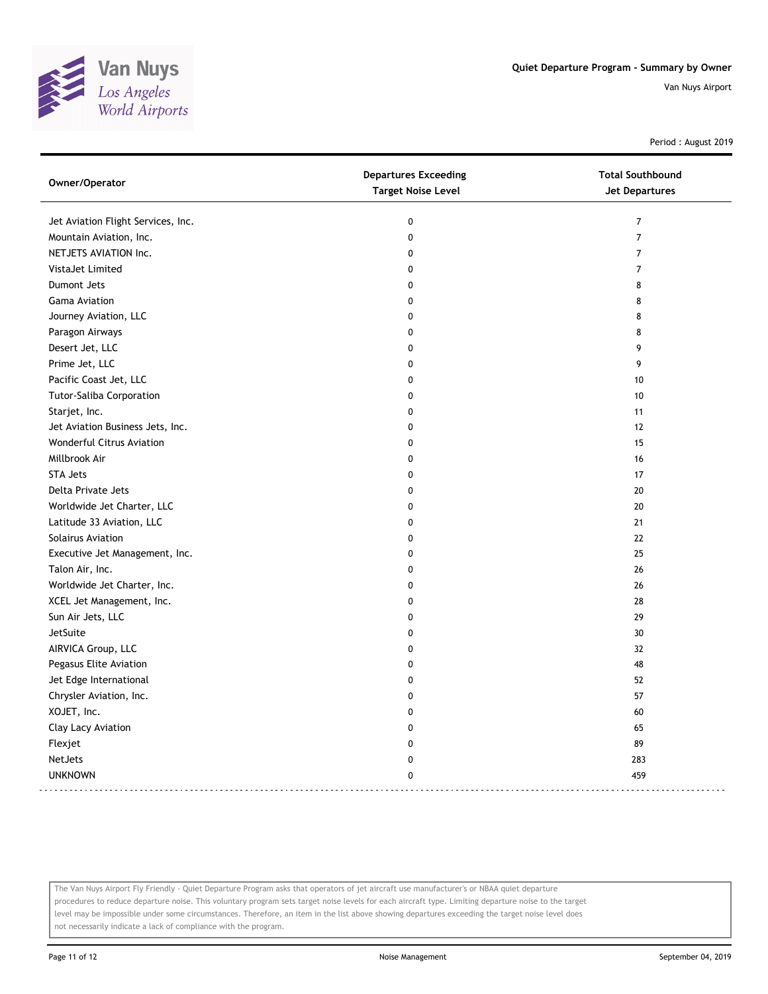

Period : August 2019

| Owner/Operator                     | <b>Departures Exceeding</b><br><b>Target Noise Level</b> | <b>Total Southbound</b><br><b>Jet Departures</b> |
|------------------------------------|----------------------------------------------------------|--------------------------------------------------|
| Jet Aviation Flight Services, Inc. | $\pmb{0}$                                                | $\overline{7}$                                   |
| Mountain Aviation, Inc.            | $\mathbf 0$                                              | $\boldsymbol{7}$                                 |
| NETJETS AVIATION Inc.              | $\mathbf 0$                                              | $\overline{7}$                                   |
| VistaJet Limited                   | 0                                                        | $\overline{7}$                                   |
| Dumont Jets                        | $\mathbf{0}$                                             | 8                                                |
| <b>Gama Aviation</b>               | $\mathbf 0$                                              | 8                                                |
| Journey Aviation, LLC              | $\mathbf 0$                                              | 8                                                |
| Paragon Airways                    | $\mathbf{0}$                                             | 8                                                |
| Desert Jet, LLC                    | $\mathbf 0$                                              | 9                                                |
| Prime Jet, LLC                     | 0                                                        | 9                                                |
| Pacific Coast Jet, LLC             | 0                                                        | 10                                               |
| Tutor-Saliba Corporation           | $\mathbf{0}$                                             | 10                                               |
| Starjet, Inc.                      | $\mathbf{0}$                                             | 11                                               |
| Jet Aviation Business Jets, Inc.   | $\mathbf 0$                                              | 12                                               |
| <b>Wonderful Citrus Aviation</b>   | $\mathbf 0$                                              | 15                                               |
| Millbrook Air                      | $\Omega$                                                 | 16                                               |
| <b>STA Jets</b>                    | $\mathbf 0$                                              | 17                                               |
| Delta Private Jets                 | 0                                                        | 20                                               |
| Worldwide Jet Charter, LLC         | $\mathbf 0$                                              | 20                                               |
| Latitude 33 Aviation, LLC          | $\mathbf 0$                                              | 21                                               |
| Solairus Aviation                  | 0                                                        | 22                                               |
| Executive Jet Management, Inc.     | $\mathbf 0$                                              | 25                                               |
| Talon Air, Inc.                    | $\mathbf 0$                                              | 26                                               |
| Worldwide Jet Charter, Inc.        | $\mathbf 0$                                              | 26                                               |
| XCEL Jet Management, Inc.          | 0                                                        | 28                                               |
| Sun Air Jets, LLC                  | $\mathbf 0$                                              | 29                                               |
| JetSuite                           | 0                                                        | 30                                               |
| AIRVICA Group, LLC                 | $\mathbf{0}$                                             | 32                                               |
| Pegasus Elite Aviation             | 0                                                        | 48                                               |
| Jet Edge International             | $\Omega$                                                 | 52                                               |
| Chrysler Aviation, Inc.            | $\mathbf 0$                                              | 57                                               |
| XOJET, Inc.                        | $\mathbf 0$                                              | 60                                               |
| Clay Lacy Aviation                 | $\mathbf{0}$                                             | 65                                               |
| Flexjet                            | $\mathbf 0$                                              | 89                                               |
| <b>NetJets</b>                     | 0                                                        | 283                                              |
| <b>UNKNOWN</b>                     | $\mathbf{0}$                                             | 459                                              |

The Van Nuys Airport Fly Friendly - Quiet Departure Program asks that operators of jet aircraft use manufacturer's or NBAA quiet departure procedures to reduce departure noise. This voluntary program sets target noise levels for each aircraft type. Limiting departure noise to the target level may be impossible under some circumstances. Therefore, an item in the list above showing departures exceeding the target noise level does not necessarily indicate a lack of compliance with the program.